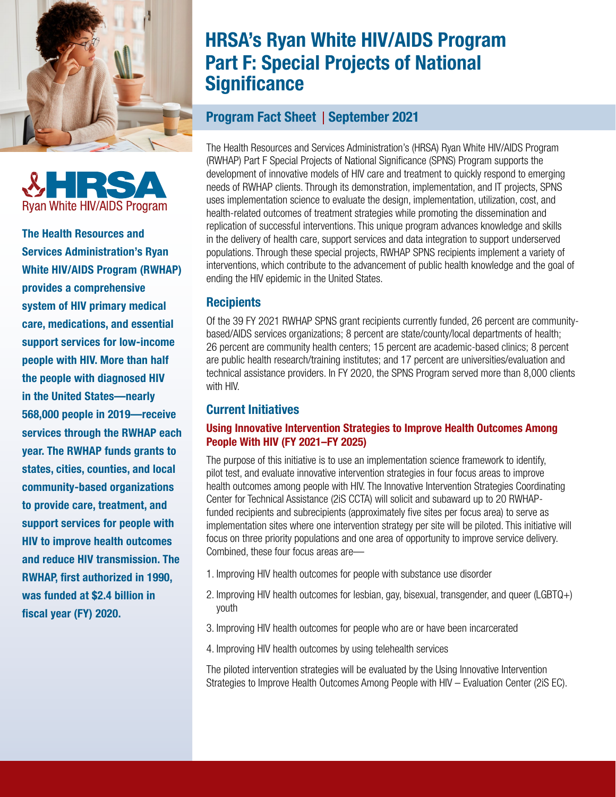



The Health Resources and Services Administration's Ryan White HIV/AIDS Program (RWHAP) provides a comprehensive system of HIV primary medical care, medications, and essential support services for low-income people with HIV. More than half the people with diagnosed HIV in the United States—nearly 568,000 people in 2019—receive services through the RWHAP each year. The RWHAP funds grants to states, cities, counties, and local community-based organizations to provide care, treatment, and support services for people with HIV to improve health outcomes and reduce HIV transmission. The RWHAP, first authorized in 1990, was funded at \$2.4 billion in fiscal year (FY) 2020.

# HRSA's Ryan White HIV/AIDS Program Part F: Special Projects of National **Significance**

## Program Fact Sheet | September 2021

The Health Resources and Services Administration's (HRSA) Ryan White HIV/AIDS Program (RWHAP) Part F Special Projects of National Significance (SPNS) Program supports the development of innovative models of HIV care and treatment to quickly respond to emerging needs of RWHAP clients. Through its demonstration, implementation, and IT projects, SPNS uses implementation science to evaluate the design, implementation, utilization, cost, and health-related outcomes of treatment strategies while promoting the dissemination and replication of successful interventions. This unique program advances knowledge and skills in the delivery of health care, support services and data integration to support underserved populations. Through these special projects, RWHAP SPNS recipients implement a variety of interventions, which contribute to the advancement of public health knowledge and the goal of ending the HIV epidemic in the United States.

## **Recipients**

Of the 39 FY 2021 RWHAP SPNS grant recipients currently funded, 26 percent are communitybased/AIDS services organizations; 8 percent are state/county/local departments of health; 26 percent are community health centers; 15 percent are academic-based clinics; 8 percent are public health research/training institutes; and 17 percent are universities/evaluation and technical assistance providers. In FY 2020, the SPNS Program served more than 8,000 clients with HIV.

## Current Initiatives

## Using Innovative Intervention Strategies to Improve Health Outcomes Among People With HIV (FY 2021–FY 2025)

The purpose of this initiative is to use an implementation science framework to identify, pilot test, and evaluate innovative intervention strategies in four focus areas to improve health outcomes among people with HIV. The Innovative Intervention Strategies Coordinating Center for Technical Assistance (2iS CCTA) will solicit and subaward up to 20 RWHAPfunded recipients and subrecipients (approximately five sites per focus area) to serve as implementation sites where one intervention strategy per site will be piloted. This initiative will focus on three priority populations and one area of opportunity to improve service delivery. Combined, these four focus areas are-

- 1. Improving HIV health outcomes for people with substance use disorder
- 2. Improving HIV health outcomes for lesbian, gay, bisexual, transgender, and queer (LGBTQ+) youth
- 3. Improving HIV health outcomes for people who are or have been incarcerated
- 4. Improving HIV health outcomes by using telehealth services

The piloted intervention strategies will be evaluated by the Using Innovative Intervention Strategies to Improve Health Outcomes Among People with HIV – Evaluation Center (2iS EC).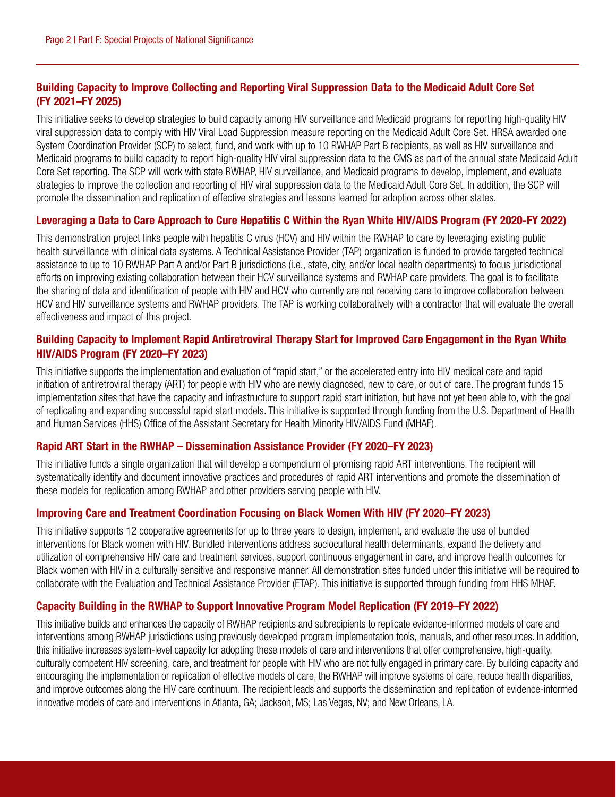## Building Capacity to Improve Collecting and Reporting Viral Suppression Data to the Medicaid Adult Core Set (FY 2021–FY 2025)

This initiative seeks to develop strategies to build capacity among HIV surveillance and Medicaid programs for reporting high-quality HIV viral suppression data to comply with HIV Viral Load Suppression measure reporting on the Medicaid Adult Core Set. HRSA awarded one System Coordination Provider (SCP) to select, fund, and work with up to 10 RWHAP Part B recipients, as well as HIV surveillance and Medicaid programs to build capacity to report high-quality HIV viral suppression data to the CMS as part of the annual state Medicaid Adult Core Set reporting. The SCP will work with state RWHAP, HIV surveillance, and Medicaid programs to develop, implement, and evaluate strategies to improve the collection and reporting of HIV viral suppression data to the Medicaid Adult Core Set. In addition, the SCP will promote the dissemination and replication of effective strategies and lessons learned for adoption across other states.

#### Leveraging a Data to Care Approach to Cure Hepatitis C Within the Ryan White HIV/AIDS Program (FY 2020-FY 2022)

This demonstration project links people with hepatitis C virus (HCV) and HIV within the RWHAP to care by leveraging existing public health surveillance with clinical data systems. A Technical Assistance Provider (TAP) organization is funded to provide targeted technical assistance to up to 10 RWHAP Part A and/or Part B jurisdictions (i.e., state, city, and/or local health departments) to focus jurisdictional efforts on improving existing collaboration between their HCV surveillance systems and RWHAP care providers. The goal is to facilitate the sharing of data and identification of people with HIV and HCV who currently are not receiving care to improve collaboration between HCV and HIV surveillance systems and RWHAP providers. The TAP is working collaboratively with a contractor that will evaluate the overall effectiveness and impact of this project.

#### Building Capacity to Implement Rapid Antiretroviral Therapy Start for Improved Care Engagement in the Ryan White HIV/AIDS Program (FY 2020–FY 2023)

This initiative supports the implementation and evaluation of "rapid start," or the accelerated entry into HIV medical care and rapid initiation of antiretroviral therapy (ART) for people with HIV who are newly diagnosed, new to care, or out of care. The program funds 15 implementation sites that have the capacity and infrastructure to support rapid start initiation, but have not yet been able to, with the goal of replicating and expanding successful rapid start models. This initiative is supported through funding from the U.S. Department of Health and Human Services (HHS) Office of the Assistant Secretary for Health Minority HIV/AIDS Fund (MHAF).

#### Rapid ART Start in the RWHAP – Dissemination Assistance Provider (FY 2020–FY 2023)

This initiative funds a single organization that will develop a compendium of promising rapid ART interventions. The recipient will systematically identify and document innovative practices and procedures of rapid ART interventions and promote the dissemination of these models for replication among RWHAP and other providers serving people with HIV.

#### Improving Care and Treatment Coordination Focusing on Black Women With HIV (FY 2020–FY 2023)

This initiative supports 12 cooperative agreements for up to three years to design, implement, and evaluate the use of bundled interventions for Black women with HIV. Bundled interventions address sociocultural health determinants, expand the delivery and utilization of comprehensive HIV care and treatment services, support continuous engagement in care, and improve health outcomes for Black women with HIV in a culturally sensitive and responsive manner. All demonstration sites funded under this initiative will be required to collaborate with the Evaluation and Technical Assistance Provider (ETAP). This initiative is supported through funding from HHS MHAF.

#### Capacity Building in the RWHAP to Support Innovative Program Model Replication (FY 2019–FY 2022)

This initiative builds and enhances the capacity of RWHAP recipients and subrecipients to replicate evidence-informed models of care and interventions among RWHAP jurisdictions using previously developed program implementation tools, manuals, and other resources. In addition, this initiative increases system-level capacity for adopting these models of care and interventions that offer comprehensive, high-quality, culturally competent HIV screening, care, and treatment for people with HIV who are not fully engaged in primary care. By building capacity and encouraging the implementation or replication of effective models of care, the RWHAP will improve systems of care, reduce health disparities, and improve outcomes along the HIV care continuum. The recipient leads and supports the dissemination and replication of evidence-informed innovative models of care and interventions in Atlanta, GA; Jackson, MS; Las Vegas, NV; and New Orleans, LA.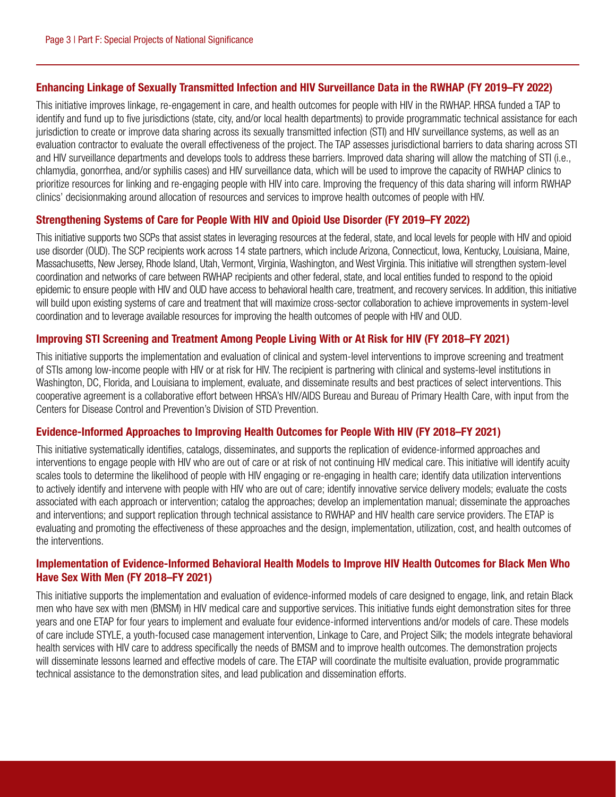#### Enhancing Linkage of Sexually Transmitted Infection and HIV Surveillance Data in the RWHAP (FY 2019–FY 2022)

This initiative improves linkage, re-engagement in care, and health outcomes for people with HIV in the RWHAP. HRSA funded a TAP to identify and fund up to five jurisdictions (state, city, and/or local health departments) to provide programmatic technical assistance for each jurisdiction to create or improve data sharing across its sexually transmitted infection (STI) and HIV surveillance systems, as well as an evaluation contractor to evaluate the overall effectiveness of the project. The TAP assesses jurisdictional barriers to data sharing across STI and HIV surveillance departments and develops tools to address these barriers. Improved data sharing will allow the matching of STI (i.e., chlamydia, gonorrhea, and/or syphilis cases) and HIV surveillance data, which will be used to improve the capacity of RWHAP clinics to prioritize resources for linking and re-engaging people with HIV into care. Improving the frequency of this data sharing will inform RWHAP clinics' decisionmaking around allocation of resources and services to improve health outcomes of people with HIV.

#### Strengthening Systems of Care for People With HIV and Opioid Use Disorder (FY 2019–FY 2022)

This initiative supports two SCPs that assist states in leveraging resources at the federal, state, and local levels for people with HIV and opioid use disorder (OUD). The SCP recipients work across 14 state partners, which include Arizona, Connecticut, Iowa, Kentucky, Louisiana, Maine, Massachusetts, New Jersey, Rhode Island, Utah, Vermont, Virginia, Washington, and West Virginia. This initiative will strengthen system-level coordination and networks of care between RWHAP recipients and other federal, state, and local entities funded to respond to the opioid epidemic to ensure people with HIV and OUD have access to behavioral health care, treatment, and recovery services. In addition, this initiative will build upon existing systems of care and treatment that will maximize cross-sector collaboration to achieve improvements in system-level coordination and to leverage available resources for improving the health outcomes of people with HIV and OUD.

#### Improving STI Screening and Treatment Among People Living With or At Risk for HIV (FY 2018–FY 2021)

This initiative supports the implementation and evaluation of clinical and system-level interventions to improve screening and treatment of STIs among low-income people with HIV or at risk for HIV. The recipient is partnering with clinical and systems-level institutions in Washington, DC, Florida, and Louisiana to implement, evaluate, and disseminate results and best practices of select interventions. This cooperative agreement is a collaborative effort between HRSA's HIV/AIDS Bureau and Bureau of Primary Health Care, with input from the Centers for Disease Control and Prevention's Division of STD Prevention.

#### Evidence-Informed Approaches to Improving Health Outcomes for People With HIV (FY 2018–FY 2021)

This initiative systematically identifies, catalogs, disseminates, and supports the replication of evidence-informed approaches and interventions to engage people with HIV who are out of care or at risk of not continuing HIV medical care. This initiative will identify acuity scales tools to determine the likelihood of people with HIV engaging or re-engaging in health care; identify data utilization interventions to actively identify and intervene with people with HIV who are out of care; identify innovative service delivery models; evaluate the costs associated with each approach or intervention; catalog the approaches; develop an implementation manual; disseminate the approaches and interventions; and support replication through technical assistance to RWHAP and HIV health care service providers. The ETAP is evaluating and promoting the effectiveness of these approaches and the design, implementation, utilization, cost, and health outcomes of the interventions.

#### Implementation of Evidence-Informed Behavioral Health Models to Improve HIV Health Outcomes for Black Men Who Have Sex With Men (FY 2018–FY 2021)

This initiative supports the implementation and evaluation of evidence-informed models of care designed to engage, link, and retain Black men who have sex with men (BMSM) in HIV medical care and supportive services. This initiative funds eight demonstration sites for three years and one ETAP for four years to implement and evaluate four evidence-informed interventions and/or models of care. These models of care include STYLE, a youth-focused case management intervention, Linkage to Care, and Project Silk; the models integrate behavioral health services with HIV care to address specifically the needs of BMSM and to improve health outcomes. The demonstration projects will disseminate lessons learned and effective models of care. The ETAP will coordinate the multisite evaluation, provide programmatic technical assistance to the demonstration sites, and lead publication and dissemination efforts.